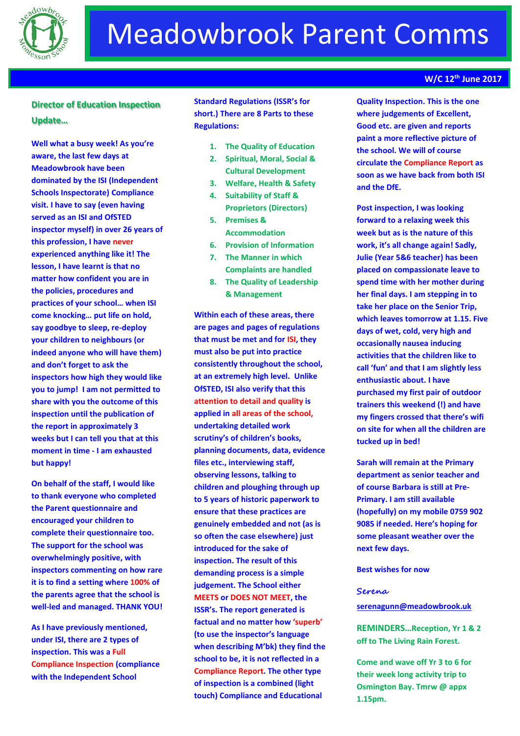

# **Director of Education Inspection Update…**

**Well what a busy week! As you're aware, the last few days at Meadowbrook have been dominated by the ISI (Independent Schools Inspectorate) Compliance visit. I have to say (even having served as an ISI and OfSTED inspector myself) in over 26 years of this profession, I have never experienced anything like it! The lesson, I have learnt is that no matter how confident you are in the policies, procedures and practices of your school… when ISI come knocking… put life on hold, say goodbye to sleep, re-deploy your children to neighbours (or indeed anyone who will have them) and don't forget to ask the inspectors how high they would like you to jump! I am not permitted to share with you the outcome of this inspection until the publication of the report in approximately 3 weeks but I can tell you that at this moment in time - I am exhausted but happy!**

**On behalf of the staff, I would like to thank everyone who completed the Parent questionnaire and encouraged your children to complete their questionnaire too. The support for the school was overwhelmingly positive, with inspectors commenting on how rare it is to find a setting where 100% of the parents agree that the school is well-led and managed. THANK YOU!**

**As I have previously mentioned, under ISI, there are 2 types of inspection. This was a Full Compliance Inspection (compliance with the Independent School** 

**Standard Regulations (ISSR's for short.) There are 8 Parts to these Regulations:**

- **1. The Quality of Education**
- **2. Spiritual, Moral, Social & Cultural Development**
- **3. Welfare, Health & Safety**
- **4. Suitability of Staff & Proprietors (Directors)**
- **5. Premises & Accommodation**
- **6. Provision of Information**
- **7. The Manner in which Complaints are handled**
- **8. The Quality of Leadership & Management**

**Within each of these areas, there are pages and pages of regulations that must be met and for ISI, they must also be put into practice consistently throughout the school, at an extremely high level. Unlike OfSTED, ISI also verify that this attention to detail and quality is applied in all areas of the school, undertaking detailed work scrutiny's of children's books, planning documents, data, evidence files etc., interviewing staff, observing lessons, talking to children and ploughing through up to 5 years of historic paperwork to ensure that these practices are genuinely embedded and not (as is so often the case elsewhere) just introduced for the sake of inspection. The result of this demanding process is a simple judgement. The School either MEETS or DOES NOT MEET, the ISSR's. The report generated is factual and no matter how 'superb' (to use the inspector's language when describing M'bk) they find the school to be, it is not reflected in a Compliance Report. The other type of inspection is a combined (light touch) Compliance and Educational** 

## **Quality Inspection. This is the one where judgements of Excellent, Good etc. are given and reports paint a more reflective picture of the school. We will of course circulate the Compliance Report as soon as we have back from both ISI and the DfE.**

**Post inspection, I was looking forward to a relaxing week this week but as is the nature of this work, it's all change again! Sadly, Julie (Year 5&6 teacher) has been placed on compassionate leave to spend time with her mother during her final days. I am stepping in to take her place on the Senior Trip, which leaves tomorrow at 1.15. Five days of wet, cold, very high and occasionally nausea inducing activities that the children like to call 'fun' and that I am slightly less enthusiastic about. I have purchased my first pair of outdoor trainers this weekend (!) and have my fingers crossed that there's wifi on site for when all the children are tucked up in bed!** 

**Sarah will remain at the Primary department as senior teacher and of course Barbara is still at Pre-Primary. I am still available (hopefully) on my mobile 0759 902 9085 if needed. Here's hoping for some pleasant weather over the next few days.**

### **Best wishes for now**

#### **Serena**

### **[serenagunn@meadowbrook.uk](mailto:serenagunn@meadowbrook.uk)**

**REMINDERS…Reception, Yr 1 & 2 off to The Living Rain Forest.** 

**Come and wave off Yr 3 to 6 for their week long activity trip to Osmington Bay. Tmrw @ appx 1.15pm.**

### **W/C 12th June 2017**